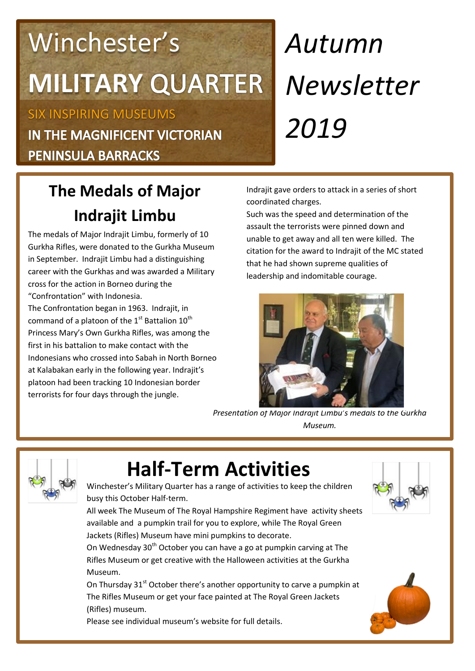## Winchester's **MILITARY**

SIX INSPIRING MUSEUMS IN THE MAGNIFICENT VICTORIAN **PENINSULA BARRACKS** 

# *Autumn Newsletter 2019*

## **The Medals of Major Indrajit Limbu**

The medals of Major Indrajit Limbu, formerly of 10 Gurkha Rifles, were donated to the Gurkha Museum in September. Indrajit Limbu had a distinguishing career with the Gurkhas and was awarded a Military cross for the action in Borneo during the "Confrontation" with Indonesia. The Confrontation began in 1963. Indrajit, in command of a platoon of the  $1<sup>st</sup>$  Battalion  $10<sup>th</sup>$ Princess Mary's Own Gurkha Rifles, was among the first in his battalion to make contact with the Indonesians who crossed into Sabah in North Borneo at Kalabakan early in the following year. Indrajit's platoon had been tracking 10 Indonesian border terrorists for four days through the jungle.

Indrajit gave orders to attack in a series of short coordinated charges.

Such was the speed and determination of the assault the terrorists were pinned down and unable to get away and all ten were killed. The citation for the award to Indrajit of the MC stated that he had shown supreme qualities of leadership and indomitable courage.



*Presentation of Major Indrajit Limbu's medals to the Gurkha Museum.*



## **Half-Term Activities**



Winchester's Military Quarter has a range of activities to keep the children busy this October Half-term.

All week The Museum of The Royal Hampshire Regiment have activity sheets available and a pumpkin trail for you to explore, while The Royal Green Jackets (Rifles) Museum have mini pumpkins to decorate.

On Wednesday 30<sup>th</sup> October you can have a go at pumpkin carving at The Rifles Museum or get creative with the Halloween activities at the Gurkha Museum.

On Thursday 31<sup>st</sup> October there's another opportunity to carve a pumpkin at The Rifles Museum or get your face painted at The Royal Green Jackets (Rifles) museum.

Please see individual museum's website for full details.